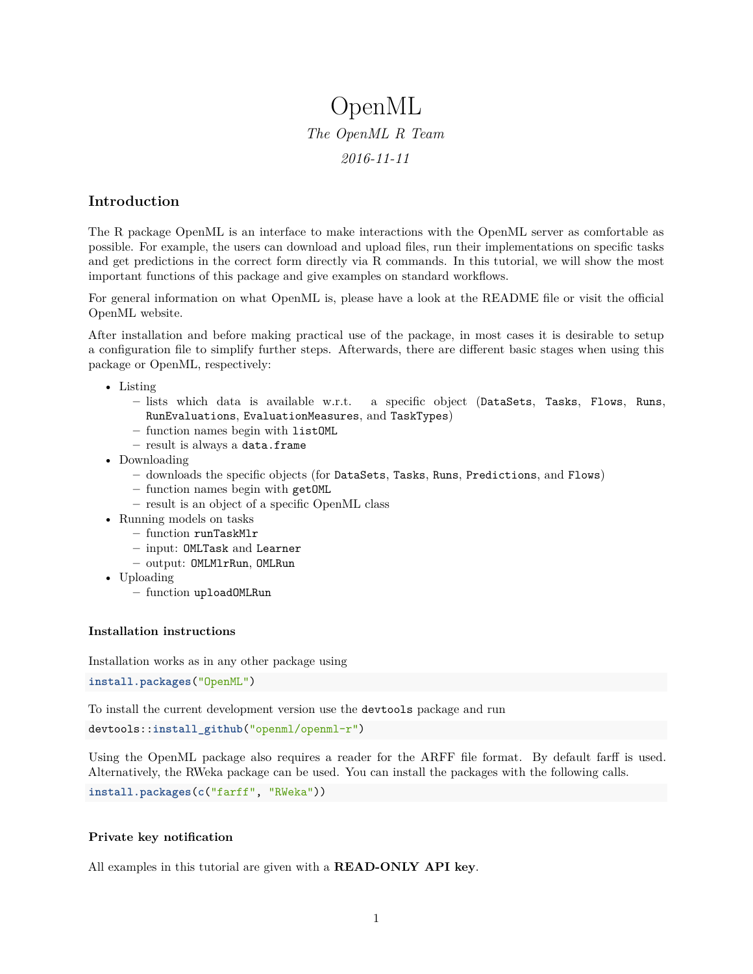# OpenML *The OpenML R Team 2016-11-11*

## **Introduction**

The R package OpenML is an interface to make interactions with the [OpenML](http://openml.org/) server as comfortable as possible. For example, the users can download and upload files, run their implementations on specific tasks and get predictions in the correct form directly via R commands. In this tutorial, we will show the most important functions of this package and give examples on standard workflows.

For general information on what OpenML is, please have a look at the [README file](https://github.com/openml/OpenML/blob/master/README.md) or visit the [official](http://openml.org/) [OpenML website.](http://openml.org/)

After installation and before making practical use of the package, in most cases it is desirable to [setup](#page-2-0) [a configuration file](#page-2-0) to simplify further steps. Afterwards, there are different basic stages when using this package or OpenML, respectively:

- [Listing](#page-3-0)
	- **–** lists which data is available w.r.t. a specific object (DataSets, Tasks, Flows, Runs, RunEvaluations, EvaluationMeasures, and TaskTypes)
	- **–** function names begin with listOML
	- **–** result is always a data.frame
- [Downloading](#page-8-0)
	- **–** downloads the specific objects (for DataSets, Tasks, Runs, Predictions, and Flows)
	- **–** function names begin with getOML
	- **–** result is an object of a specific OpenML class
- [Running models on tasks](#page-11-0)
	- **–** function runTaskMlr
	- **–** input: OMLTask and [Learner](https://mlr-org.github.io/mlr-tutorial/release/html/learner/index.html)
	- **–** output: OMLMlrRun, OMLRun
- [Uploading](#page-12-0)
	- **–** function uploadOMLRun

#### **Installation instructions**

Installation works as in any other package using

**install.packages**("OpenML")

To install the current development version use the [devtools](https://cran.r-project.org/web/packages/devtools/index.html) package and run

devtools::**install\_github**("openml/openml-r")

Using the OpenML package also requires a reader for the [ARFF](http://www.cs.waikato.ac.nz/ml/weka/arff.html) file format. By default [farff](https://cran.r-project.org/web/packages/farff/index.html) is used. Alternatively, the [RWeka](https://cran.r-project.org/web/packages/RWeka/index.html) package can be used. You can install the packages with the following calls.

**install.packages**(**c**("farff", "RWeka"))

#### **Private key notification**

All examples in this tutorial are given with a **READ-ONLY API key**.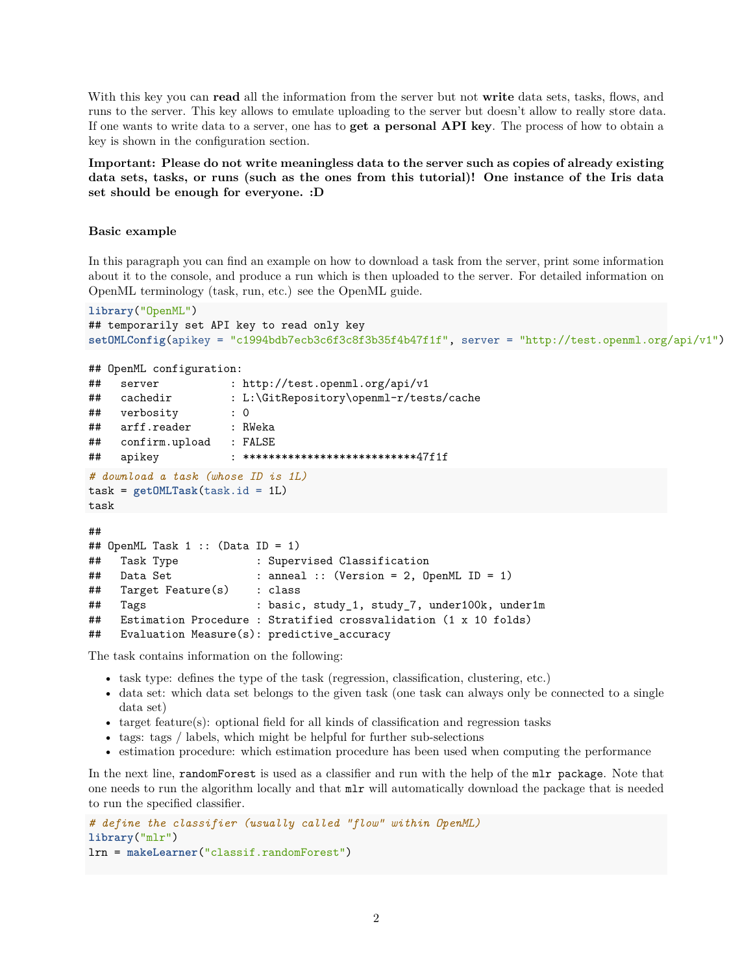With this key you can **read** all the information from the server but not **write** data sets, tasks, flows, and runs to the server. This key allows to emulate uploading to the server but doesn't allow to really store data. If one wants to write data to a server, one has to **get a personal API key**. The process of how to obtain a key is shown in the [configuration section.](#page-2-0)

**Important: Please do not write meaningless data to the server such as copies of already existing data sets, tasks, or runs (such as the ones from this tutorial)! One instance of the Iris data set should be enough for everyone. :D**

#### **Basic example**

##

In this paragraph you can find an example on how to download a task from the server, print some information about it to the console, and produce a run which is then uploaded to the server. For detailed information on OpenML terminology (task, run, etc.) see the [OpenML guide.](http://www.openml.org/guide)

```
library("OpenML")
## temporarily set API key to read only key
setOMLConfig(apikey = "c1994bdb7ecb3c6f3c8f3b35f4b47f1f", server = "http://test.openml.org/api/v1")
```

```
## OpenML configuration:
## server : http://test.openml.org/api/v1
## cachedir : L:\GitRepository\openml-r/tests/cache
## verbosity : 0
## arff.reader : RWeka
## confirm.upload : FALSE
## apikey : ***************************47f1f
# download a task (whose ID is 1L)
task = getOMLTask(task.id = 1L)
task
```

```
## OpenML Task 1 :: (Data ID = 1)
## Task Type : Supervised Classification
## Data Set : anneal :: (Version = 2, OpenML ID = 1)
## Target Feature(s) : class
## Tags : basic, study_1, study_7, under100k, under1m
## Estimation Procedure : Stratified crossvalidation (1 x 10 folds)
## Evaluation Measure(s): predictive_accuracy
```
The task contains information on the following:

- task type: defines the type of the task (regression, classification, clustering, etc.)
- data set: which data set belongs to the given task (one task can always only be connected to a single data set)
- target feature(s): optional field for all kinds of classification and regression tasks
- tags: tags / labels, which might be helpful for further sub-selections
- estimation procedure: which estimation procedure has been used when computing the performance

In the next line, randomForest is used as a classifier and run with the help of the [mlr package](https://github.com/mlr-org/mlr). Note that one needs to run the algorithm locally and that mlr will automatically download the package that is needed to run the specified classifier.

```
# define the classifier (usually called "flow" within OpenML)
library("mlr")
lrn = makeLearner("classif.randomForest")
```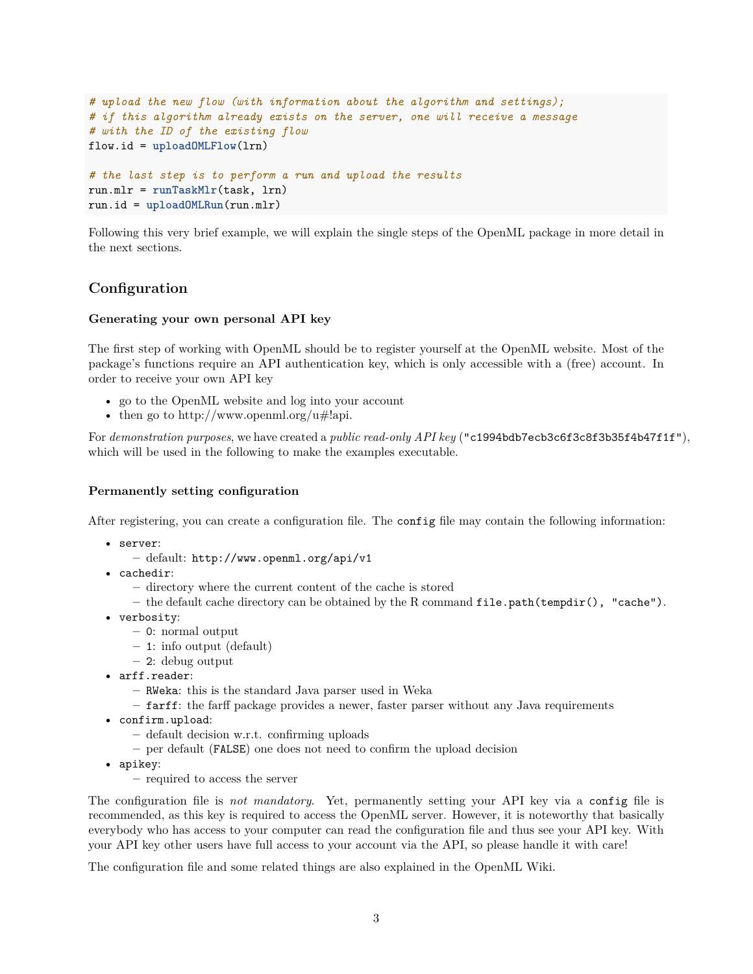```
# upload the new flow (with information about the algorithm and settings);
# if this algorithm already exists on the server, one will receive a message
# with the ID of the existing flow
flow.id = uploadOMLFlow(lrn)
# the last step is to perform a run and upload the results
run.mlr = runTaskMlr(task, lrn)
run.id = uploadOMLRun(run.mlr)
```
<span id="page-2-0"></span>Following this very brief example, we will explain the single steps of the OpenML package in more detail in the next sections.

## **Configuration**

#### <span id="page-2-2"></span>**Generating your own personal API key**

The first step of working with OpenML should be to register yourself at the [OpenML website.](http://www.openml.org) Most of the package's functions require an API authentication key, which is only accessible with a (free) account. In order to receive your own API key

- go to the [OpenML website](http://www.openml.org) and log into your account
- then go to [http://www.openml.org/u#!api.](http://www.openml.org/u#!api)

<span id="page-2-3"></span>For *demonstration purposes*, we have created a *public read-only API key* ("c1994bdb7ecb3c6f3c8f3b35f4b47f1f"), which will be used in the following to make the examples executable.

#### **Permanently setting configuration**

After registering, you can [create a configuration file.](#page-2-1) The config file may contain the following information:

- server:
	- **–** default: http://www.openml.org/api/v1
- cachedir:
	- **–** directory where the current content of the cache is stored
	- **–** the default cache directory can be obtained by the R command file.path(tempdir(), "cache").
- verbosity:
	- **–** 0: normal output
	- **–** 1: info output (default)
	- **–** 2: debug output
- arff.reader:
	- **–** RWeka: this is the standard Java parser used in Weka
	- **–** farff: the [farff package](http://www.github.com/mlr-org/farff) provides a newer, faster parser without any Java requirements
- confirm.upload:
	- **–** default decision w.r.t. confirming uploads
	- **–** per default (FALSE) one does not need to confirm the upload decision
- apikey:
	- **–** required to access the server

The configuration file is *not mandatory*. Yet, permanently setting your API key via a config file is recommended, as this key is required to access the OpenML server. However, it is noteworthy that basically everybody who has access to your computer can read the configuration file and thus see your API key. With your API key other users have full access to your account via the API, so please handle it with care!

<span id="page-2-1"></span>The configuration file and some related things are also explained in the [OpenML Wiki.](https://github.com/openml/OpenML/wiki/Client-API)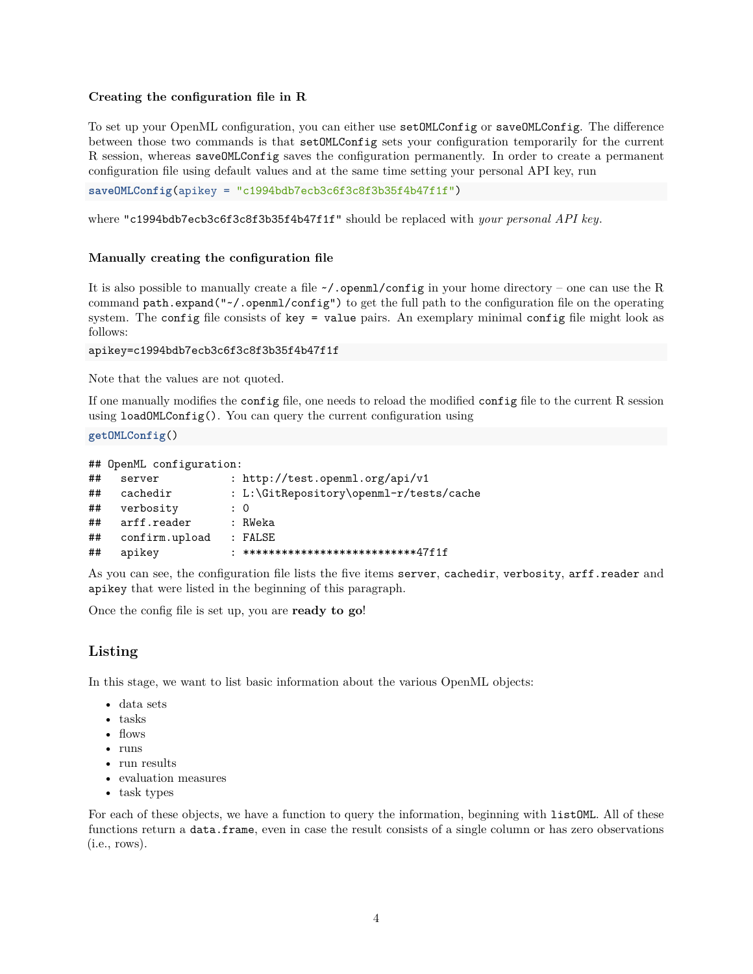#### **Creating the configuration file in R**

To set up your OpenML configuration, you can either use setOMLConfig or saveOMLConfig. The difference between those two commands is that setOMLConfig sets your configuration temporarily for the current R session, whereas saveOMLConfig saves the configuration permanently. In order to create a permanent configuration file using default values and at the same time setting your personal API key, run

**saveOMLConfig**(apikey = "c1994bdb7ecb3c6f3c8f3b35f4b47f1f")

where "c1994bdb7ecb3c6f3c8f3b35f4b47f1f" should be replaced with *[your personal API key](#page-2-2)*.

#### **Manually creating the configuration file**

It is also possible to manually create a file  $\sim$ /. openml/config in your home directory – one can use the R command path.expand("~/.openml/config") to get the full path to the configuration file on the operating system. The config file consists of key = value pairs. An exemplary minimal config file might look as follows:

```
apikey=c1994bdb7ecb3c6f3c8f3b35f4b47f1f
```
Note that the values are not quoted.

If one manually modifies the config file, one needs to reload the modified config file to the current R session using loadOMLConfig(). You can query the current configuration using

**getOMLConfig**()

```
## OpenML configuration:
## server : http://test.openml.org/api/v1
## cachedir : L:\GitRepository\openml-r/tests/cache
## verbosity : 0
## arff.reader : RWeka
## confirm.upload : FALSE
## apikey : ***************************47f1f
```
As you can see, the configuration file lists the five items server, cachedir, verbosity, arff.reader and apikey that were listed in the [beginning of this paragraph.](#page-2-3)

<span id="page-3-0"></span>Once the config file is set up, you are **ready to go**!

### **Listing**

In this stage, we want to list basic information about the various [OpenML objects:](http://openml.org/guide)

- data sets
- tasks
- flows
- runs
- run results
- evaluation measures
- task types

For each of these objects, we have a function to query the information, beginning with listOML. All of these functions return a data.frame, even in case the result consists of a single column or has zero observations (i.e., rows).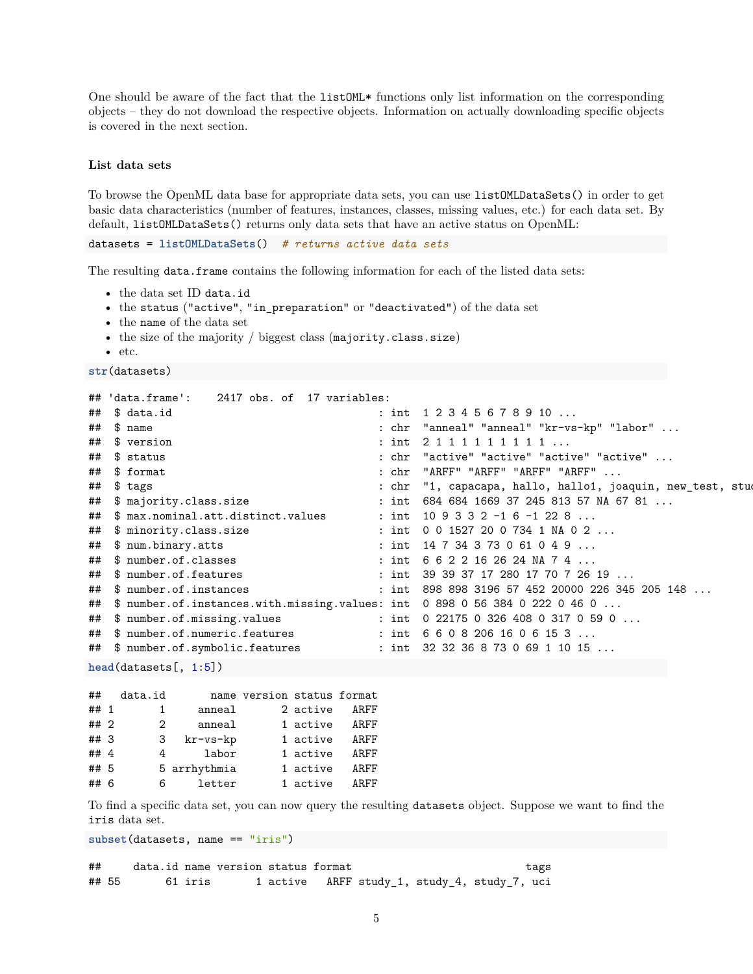One should be aware of the fact that the listOML\* functions only list information on the corresponding objects – they do not download the respective objects. Information on actually downloading specific objects is covered in the [next section.](#page-8-0)

#### <span id="page-4-0"></span>**List data sets**

To browse the OpenML data base for appropriate data sets, you can use listOMLDataSets() in order to get basic data characteristics (number of features, instances, classes, missing values, etc.) for each data set. By default, listOMLDataSets() returns only data sets that have an active status on OpenML:

```
datasets = listOMLDataSets() # returns active data sets
```
The resulting data.frame contains the following information for each of the listed data sets:

- the data set ID data.id
- the status ("active", "in\_preparation" or "deactivated") of the data set
- the name of the data set
- the size of the majority / biggest class (majority.class.size)
- etc.

```
str(datasets)
```

```
## 'data.frame': 2417 obs. of 17 variables:
## $ data.id : int 1 2 3 4 5 6 7 8 9 10 ...
## $ name : chr "anneal" "anneal" "kr-vs-kp" "labor" ...
## $ version : int 2 1 1 1 1 1 1 1 1 1 ...
## $ status : chr "active" "active" "active" "active" ...
## $ format : chr "ARFF" "ARFF" "ARFF" "ARFF" ...
## $ tags = the set of the set of the set of the set of the set of the set of the set of the set of the set of the set of the set of the set of the set of the set of the set of the set of the set of the set of the set of t
## $ majority.class.size : int 684 684 1669 37 245 813 57 NA 67 81 ...
## $ max.nominal.att.distinct.values : int 109332 - 16 - 1228...## $ minority.class.size : int 0 0 1527 20 0 734 1 NA 0 2 ...
## $ num.binary.atts : int 14 7 34 3 73 0 61 0 4 9 ...
## $ number.of.classes : int 6 6 2 2 16 26 24 NA 7 4 ...
## $ number.of.features : int 39 39 37 17 280 17 70 7 26 19 ...
## $ number.of.instances : int 898 898 3196 57 452 20000 226 345 205 148 ...
## $ number.of.instances.with.missing.values: int 0 898 0 56 384 0 222 0 46 0 ...
## $ number.of.missing.values : int 0 22175 0 326 408 0 317 0 59 0 ...
## $ number.of.numeric.features : int 6 6 0 8 206 16 0 6 15 3 ...
## $ number.of.symbolic.features : int 32 32 36 8 73 0 69 1 10 15 ...
```
**head**(datasets[, 1:5])

| ##     | data.id                     |                    | name version status format |          |      |
|--------|-----------------------------|--------------------|----------------------------|----------|------|
| ## 1   | 1.                          | anneal             |                            | 2 active | ARFF |
| ## 2   | $\mathcal{D}_{\mathcal{L}}$ | anneal             |                            | 1 active | ARFF |
| ## 3   | 3                           | $kr$ - $vs$ - $kp$ |                            | 1 active | ARFF |
| ## $4$ | 4                           | labor              |                            | 1 active | ARFF |
| ## 5   |                             | 5 arrhythmia       |                            | 1 active | ARFF |
| ## 6   | 6                           | letter             |                            | 1 active | ARFF |

To find a specific data set, you can now query the resulting datasets object. Suppose we want to find the iris data set.

**subset**(datasets, name == "iris")

## data.id name version status format tags ## 55 61 iris 1 active ARFF study\_1, study\_4, study\_7, uci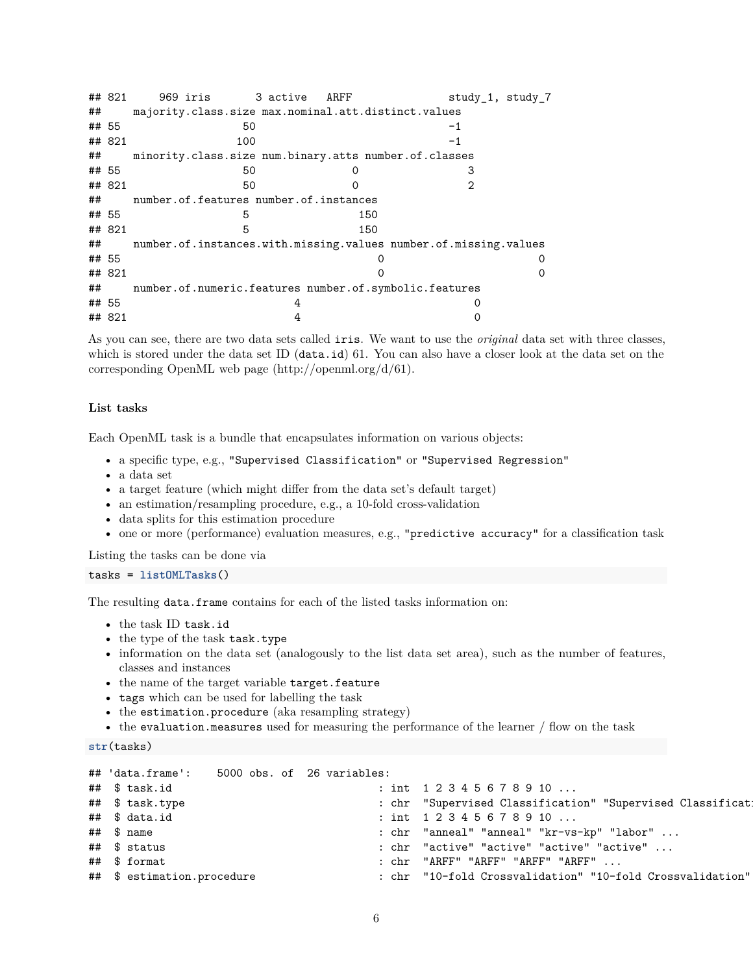|       | ## 821 | 969 iris                                               | 3 active | ARFF | study 1, study 7                                                 |
|-------|--------|--------------------------------------------------------|----------|------|------------------------------------------------------------------|
| ##    |        | majority.class.size max.nominal.att.distinct.values    |          |      |                                                                  |
| ## 55 |        | 50                                                     |          |      | $-1$                                                             |
|       | ## 821 | 100                                                    |          |      | $-1$                                                             |
| ##    |        | minority.class.size num.binary.atts number.of.classes  |          |      |                                                                  |
| ## 55 |        | 50                                                     |          |      | З                                                                |
|       | ## 821 | 50                                                     |          |      | 2                                                                |
| ##    |        | number.of.features number.of.instances                 |          |      |                                                                  |
| ## 55 |        | 5                                                      |          | 150  |                                                                  |
|       | ## 821 | 5                                                      |          | 150  |                                                                  |
| ##    |        |                                                        |          |      | number.of.instances.with.missing.values number.of.missing.values |
| ## 55 |        |                                                        |          |      |                                                                  |
|       | ## 821 |                                                        |          |      |                                                                  |
| ##    |        | number.of.numeric.features number.of.symbolic.features |          |      |                                                                  |
| ## 55 |        |                                                        | 4        |      |                                                                  |
|       | ## 821 |                                                        |          |      |                                                                  |

As you can see, there are two data sets called iris. We want to use the *original* data set with three classes, which is stored under the data set ID (data.id) 61. You can also have a closer look at the data set on the corresponding OpenML web page [\(http://openml.org/d/61\)](http://openml.org/d/61).

#### **List tasks**

Each OpenML task is a bundle that encapsulates information on various objects:

- a specific [type,](http://www.openml.org/search?type=task_type) e.g., "Supervised Classification" or "Supervised Regression"
- a data set
- a target feature (which might differ from the data set's default target)
- an estimation/resampling procedure, e.g., a 10-fold cross-validation
- data splits for this estimation procedure
- one or more (performance) evaluation measures, e.g., "predictive accuracy" for a classification task

Listing the tasks can be done via

```
tasks = listOMLTasks()
```
The resulting data.frame contains for each of the listed tasks information on:

- the task ID task.id
- the type of the task task.type
- information on the data set (analogously to the [list data set area\)](#page-4-0), such as the number of features, classes and instances
- the name of the target variable target.feature
- tags which can be used for labelling the task
- the estimation.procedure (aka resampling strategy)
- the evaluation.measures used for measuring the performance of the [learner / flow](#page-6-0) on the task

```
str(tasks)
```

| ## 'data.frame': 5000 obs. of 26 variables: |  |                                                                         |
|---------------------------------------------|--|-------------------------------------------------------------------------|
| ## \$ task.id                               |  | : int $1\ 2\ 3\ 4\ 5\ 6\ 7\ 8\ 9\ 10\ \ldots$                           |
| ## \$ task.type                             |  | : chr "Supervised Classification" "Supervised Classificat:              |
| ## \$ data.id                               |  | : int $1\ 2\ 3\ 4\ 5\ 6\ 7\ 8\ 9\ 10\ \ldots$                           |
| $\#$ # $\$$ name                            |  | $:$ $chr$ "anneal" "anneal" " $kr$ - $vs$ - $kp$ " "labo $r$ " $\ldots$ |
| ## \$ status                                |  | : chr "active" "active" "active" "active"                               |
| ## \$ format                                |  | $:$ $chr$ "ARFF" "ARFF" "ARFF" "ARFF" $\ldots$                          |
| ## \$ estimation.procedure                  |  | : chr "10-fold Crossvalidation" "10-fold Crossvalidation"               |
|                                             |  |                                                                         |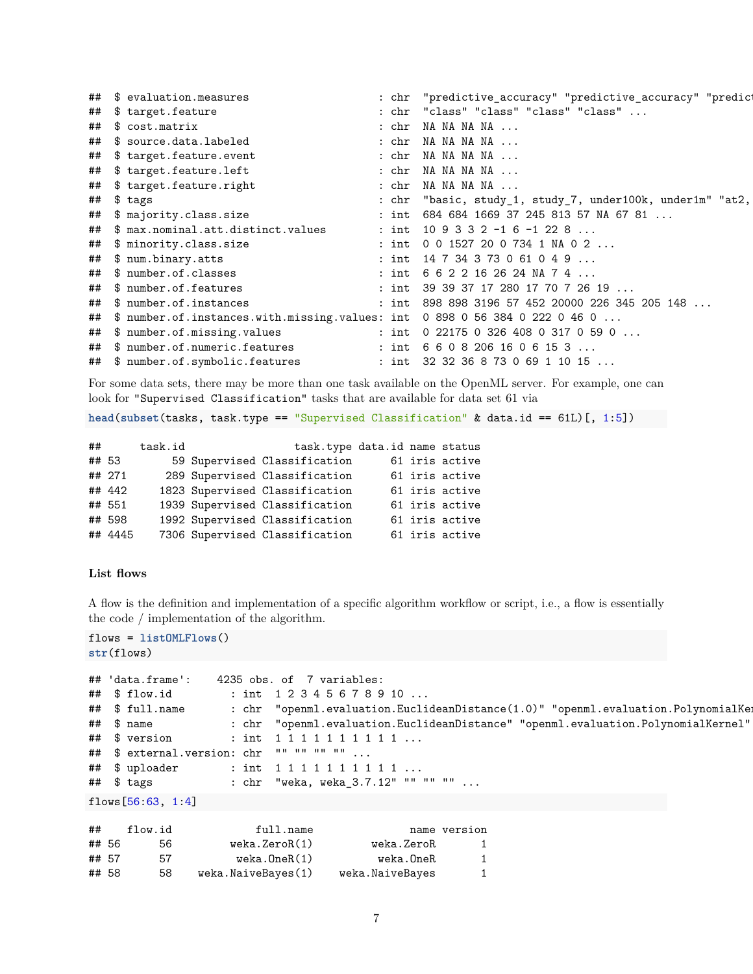| ## \$ evaluation.measures                                                     | "predictive_accuracy" "predictive_accuracy" "predic<br>: chr |
|-------------------------------------------------------------------------------|--------------------------------------------------------------|
| ## \$ target.feature                                                          | : chr "class" "class" "class" "class"                        |
| ## \$ cost.matrix                                                             | : chr NA NA NA NA                                            |
| ## \$ source.data.labeled                                                     | : chr NA NA NA NA                                            |
| ## \$ target.feature.event                                                    | : chr NA NA NA NA                                            |
| ## \$ target.feature.left                                                     | : chr NA NA NA NA                                            |
| ## \$ target.feature.right                                                    | : chr NA NA NA NA                                            |
| ## \$ tags                                                                    | : chr "basic, study_1, study_7, under100k, under1m" "at2,    |
| ## \$ majority.class.size                                                     | : int 684 684 1669 37 245 813 57 NA 67 81                    |
| ## \$ max.nominal.att.distinct.values                                         | : int $109332 - 16 - 1228$                                   |
| ## \$ minority.class.size                                                     | : int $0015272007341NA02$                                    |
| ## \$ num.binary.atts                                                         | : int $14734373061049$                                       |
| ## \$ number.of.classes                                                       | : int $6622162624NA74$                                       |
| ## \$ number.of.features                                                      | : int 39 39 37 17 280 17 70 7 26 19                          |
| ## \$ number.of.instances                                                     | : int 898 898 3196 57 452 20000 226 345 205 148              |
| ## \$ number.of.instances.with.missing.values: int 0898 0 56 384 0 222 0 46 0 |                                                              |
| ## \$ number.of.missing.values                                                | : int $0.22175.0.326.408.0.317.0.59.0$                       |
| ## \$ number.of.numeric.features                                              | : int $66082061606153$                                       |
| ## \$ number.of.symbolic.features                                             | : int $32\,32\,36\,8\,73\,0\,69\,1\,10\,15\ldots$            |

For some data sets, there may be more than one task available on the OpenML server. For example, one can look for "Supervised Classification" tasks that are available for data set 61 via

**head**(**subset**(tasks, task.type == "Supervised Classification" & data.id == 61L)[, 1:5])

| ##    |         | task.id | task.type data.id name status  |  |                |
|-------|---------|---------|--------------------------------|--|----------------|
| ## 53 |         |         | 59 Supervised Classification   |  | 61 iris active |
|       | ## 271  |         | 289 Supervised Classification  |  | 61 iris active |
|       | ## 442  |         | 1823 Supervised Classification |  | 61 iris active |
|       | ## 551  |         | 1939 Supervised Classification |  | 61 iris active |
|       | ## 598  |         | 1992 Supervised Classification |  | 61 iris active |
|       | ## 4445 |         | 7306 Supervised Classification |  | 61 iris active |

#### <span id="page-6-0"></span>**List flows**

A flow is the definition and implementation of a specific algorithm workflow or script, i.e., a flow is essentially the code / implementation of the algorithm.

```
flows = listOMLFlows()
str(flows)
```

```
## 'data.frame': 4235 obs. of 7 variables:
## $ flow.id : int 1 2 3 4 5 6 7 8 9 10 ...
## $ full.name : chr "openml.evaluation.EuclideanDistance(1.0)" "openml.evaluation.PolynomialKe
## $ name : chr "openml.evaluation.EuclideanDistance" "openml.evaluation.PolynomialKernel"
## $ version : int 1 1 1 1 1 1 1 1 1 ...<br>## $ external.version: chr "" "" "" "" ...
## $ external.version: chr "" "" "" "" ...
## $ uploader : int 1 1 1 1 1 1 1 1 1 ...
## $ tags : chr "weka, weka_3.7.12" "" "" "" ...
```

```
flows[56:63, 1:4]
```

| ##    |       | flow.id | full.name          |                 | name version |
|-------|-------|---------|--------------------|-----------------|--------------|
|       | ## 56 | 56.     | weka.ZeroR(1)      | weka.ZeroR      | 1            |
| ## 57 |       | 57      | weka. OneR(1)      | weka.OneR       | $\mathbf{1}$ |
|       | ## 58 | 58      | weka.NaiveBayes(1) | weka.NaiveBayes | $\mathbf{1}$ |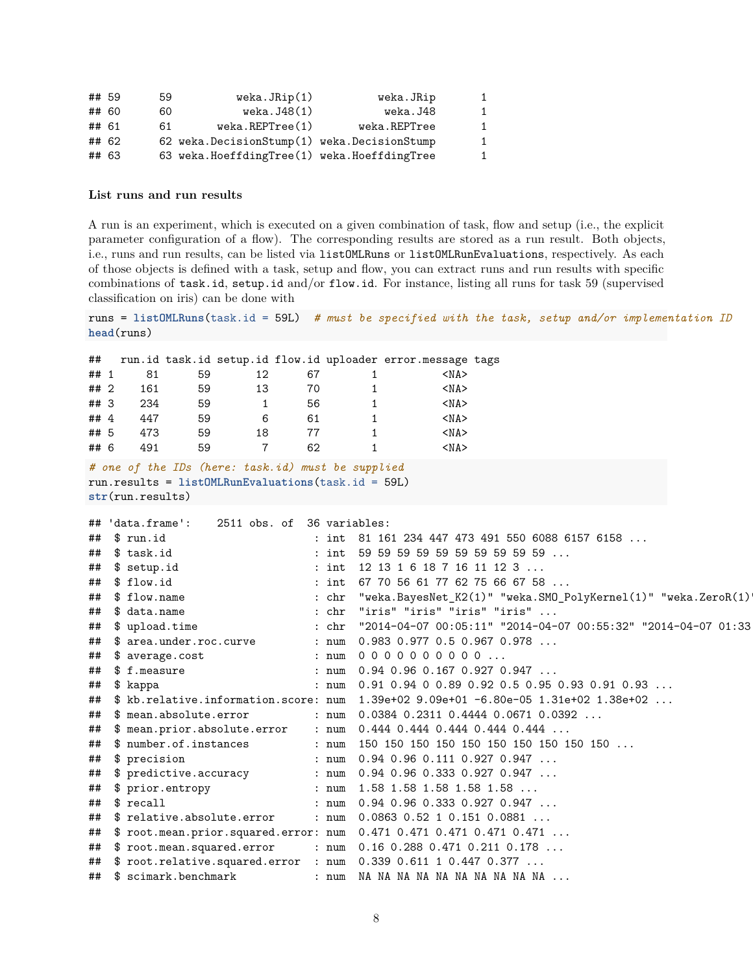| ## 59 |       | 59 | weka.JRip(1)                                  | weka.JRip    | 1            |
|-------|-------|----|-----------------------------------------------|--------------|--------------|
|       | ## 60 | 60 | weka.J48(1)                                   | weka.J48     | $\mathbf{1}$ |
| ## 61 |       | 61 | $weka$ . REPT $ree(1)$                        | weka.REPTree | $\mathbf{1}$ |
|       | ## 62 |    | 62 weka. DecisionStump(1) weka. DecisionStump |              | $\mathbf{1}$ |
| ## 63 |       |    | 63 weka.HoeffdingTree(1) weka.HoeffdingTree   |              | 1            |

#### **List runs and run results**

A run is an experiment, which is executed on a given combination of task, flow and setup (i.e., the explicit parameter configuration of a flow). The corresponding results are stored as a run result. Both objects, i.e., runs and run results, can be listed via listOMLRuns or listOMLRunEvaluations, respectively. As each of those objects is defined with a task, setup and flow, you can extract runs and run results with specific combinations of task.id, setup.id and/or flow.id. For instance, listing all runs for [task 59](http://www.openml.org/t/59) (supervised classification on iris) can be done with

```
runs = listOMLRuns(task.id = 59L) # must be specified with the task, setup and/or implementation ID
head(runs)
## run.id task.id setup.id flow.id uploader error.message tags
## 1 81 59 12 67 1 <NA>
## 2 161 59 13 70 1 <NA>
## 3 234 59 1 56 1 <NA>
## 4 447 59 6 61 1 <NA>
## 5 473 59 18 77 1 <NA>
## 6 491 59 7 62 1 <NA>
# one of the IDs (here: task.id) must be supplied
run.results = listOMLRunEvaluations(task.id = 59L)
str(run.results)
## 'data.frame': 2511 obs. of 36 variables:
## $ run.id : int 81 161 234 447 473 491 550 6088 6157 6158 ...
## $ task.id : int 59 59 59 59 59 59 59 59 59 59 ...
## $ setup.id : int 12 13 1 6 18 7 16 11 12 3 ...
## $ flow.id : int 67 70 56 61 77 62 75 66 67 58 ...
## $ flow.name : chr "weka.BayesNet_K2(1)" "weka.SMO_PolyKernel(1)" "weka.ZeroR(1)
## $ data.name : chr "iris" "iris" "iris" "iris" ...
## $ upload.time : chr "2014-04-07 00:05:11" "2014-04-07 00:55:32" "2014-04-07 01:33
## $ area.under.roc.curve : num 0.983 0.977 0.5 0.967 0.978 ...
## $ average.cost : num 0 0 0 0 0 0 0 0 0 0 ...
## $ f.measure : num 0.94 0.96 0.167 0.927 0.947 ...
## $ kappa : num 0.91 0.94 0 0.89 0.92 0.5 0.95 0.93 0.91 0.93 ...
## $ kb.relative.information.score: num 1.39e+02 9.09e+01 -6.80e-05 1.31e+02 1.38e+02 ...
## $ mean.absolute.error : num 0.0384 0.2311 0.4444 0.0671 0.0392 ...
## $ mean.prior.absolute.error : num 0.444 0.444 0.444 0.444 0.444 ...
## $ number.of.instances : num 150 150 150 150 150 150 150 150 150 150 ...
## $ precision : num 0.94 0.96 0.111 0.927 0.947 ...
## $ predictive.accuracy : num 0.94 0.96 0.333 0.927 0.947 ...
## $ prior.entropy : num 1.58 1.58 1.58 1.58 1.58 ...
## $ recall : num 0.94 0.96 0.333 0.927 0.947 ...
## $ relative.absolute.error : num 0.0863 0.52 1 0.151 0.0881 ...
## $ root.mean.prior.squared.error: num 0.471 0.471 0.471 0.471 0.471 ...
## $ root.mean.squared.error : num 0.16 0.288 0.471 0.211 0.178 ...
## $ root.relative.squared.error : num 0.339 0.611 1 0.447 0.377 ...
```
## \$ scimark.benchmark : num NA NA NA NA NA NA NA NA NA NA ...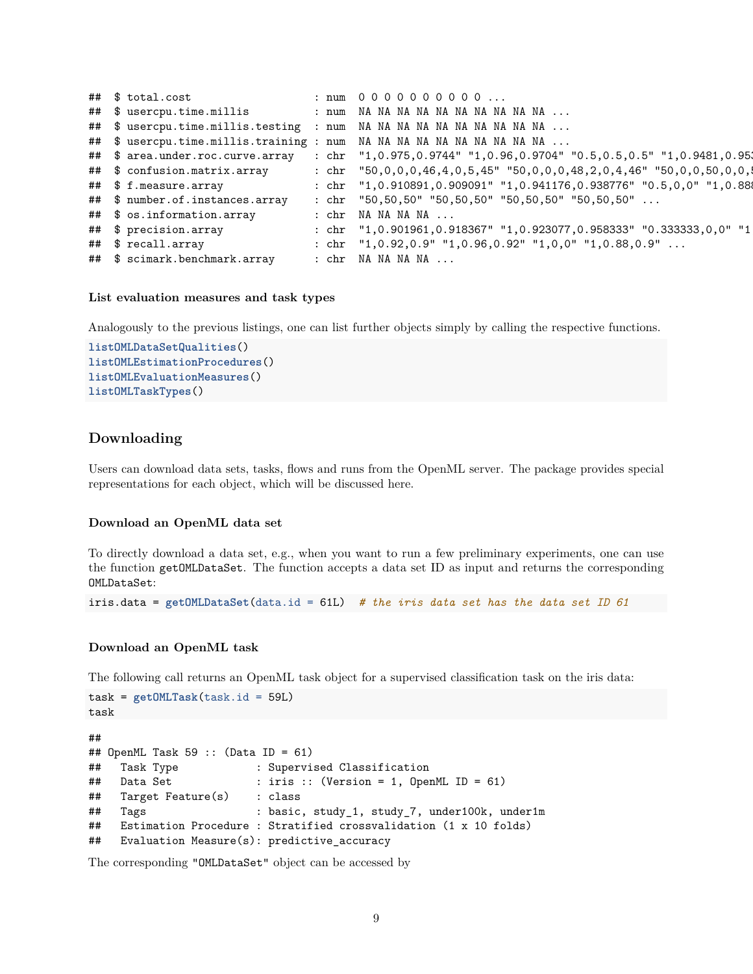|  | ## \$ total.cost                |  | : num 0000000000                                                                                      |
|--|---------------------------------|--|-------------------------------------------------------------------------------------------------------|
|  |                                 |  | ## \$ usercpu.time.millis : num NA NA NA NA NA NA NA NA NA NA                                         |
|  |                                 |  | ## \$ usercpu.time.millis.testing : num NA NA NA NA NA NA NA NA NA NA                                 |
|  |                                 |  | ## \$ usercpu.time.millis.training : num NA NA NA NA NA NA NA NA NA NA                                |
|  |                                 |  | ## \$ area.under.roc.curve.array : chr "1,0.975,0.9744" "1,0.96,0.9704" "0.5,0.5,0.5" "1,0.9481,0.95; |
|  | ## \$ confusion.matrix.array    |  | : chr $"50,0,0,0,46,4,0,5,45"$ $"50,0,0,0,48,2,0,4,46"$ $"50,0,0,50,0,0,1$                            |
|  | ## \$ f.measure.array           |  | : chr $"1,0.910891,0.909091" "1,0.941176,0.938776" "0.5,0,0" "1,0.888"$                               |
|  | ## \$ number.of.instances.array |  | : chr $"50,50,50"$ $"50,50,50"$ $"50,50,50"$ $"50,50,50"$                                             |
|  | ## \$ os.information.array      |  | : chr NA NA NA NA                                                                                     |
|  | ## \$ precision.array           |  | : chr "1,0.901961,0.918367" "1,0.923077,0.958333" "0.333333,0,0" "1                                   |
|  | ## \$ recall.array              |  | : chr $"1,0.92,0.9"$ $"1,0.96,0.92"$ $"1,0.0"$ $"1,0.88,0.9"$                                         |
|  | ## \$ scimark.benchmark.array   |  | : chr NA NA NA NA                                                                                     |

#### **List evaluation measures and task types**

Analogously to the previous listings, one can list further objects simply by calling the respective functions.

```
listOMLDataSetQualities()
listOMLEstimationProcedures()
listOMLEvaluationMeasures()
listOMLTaskTypes()
```
## <span id="page-8-0"></span>**Downloading**

Users can download data sets, tasks, flows and runs from the OpenML server. The package provides special representations for each object, which will be discussed here.

#### **Download an OpenML data set**

To directly download a data set, e.g., when you want to run a few preliminary experiments, one can use the function getOMLDataSet. The function accepts a data set ID as input and returns the corresponding OMLDataSet:

```
iris.data = getOMLDataSet(data.id = 61L) # the iris data set has the data set ID 61
```
#### **Download an OpenML task**

The following call returns an OpenML task object for a supervised classification task on the iris data:

```
task = getOMLTask(task.id = 59L)
task
##
\texttt{#}\# OpenML Task 59 :: (Data ID = 61)
## Task Type : Supervised Classification
## Data Set : iris :: (Version = 1, OpenML ID = 61)
## Target Feature(s) : class
## Tags : basic, study_1, study_7, under100k, under1m
## Estimation Procedure : Stratified crossvalidation (1 x 10 folds)
## Evaluation Measure(s): predictive_accuracy
```
The corresponding "OMLDataSet" object can be accessed by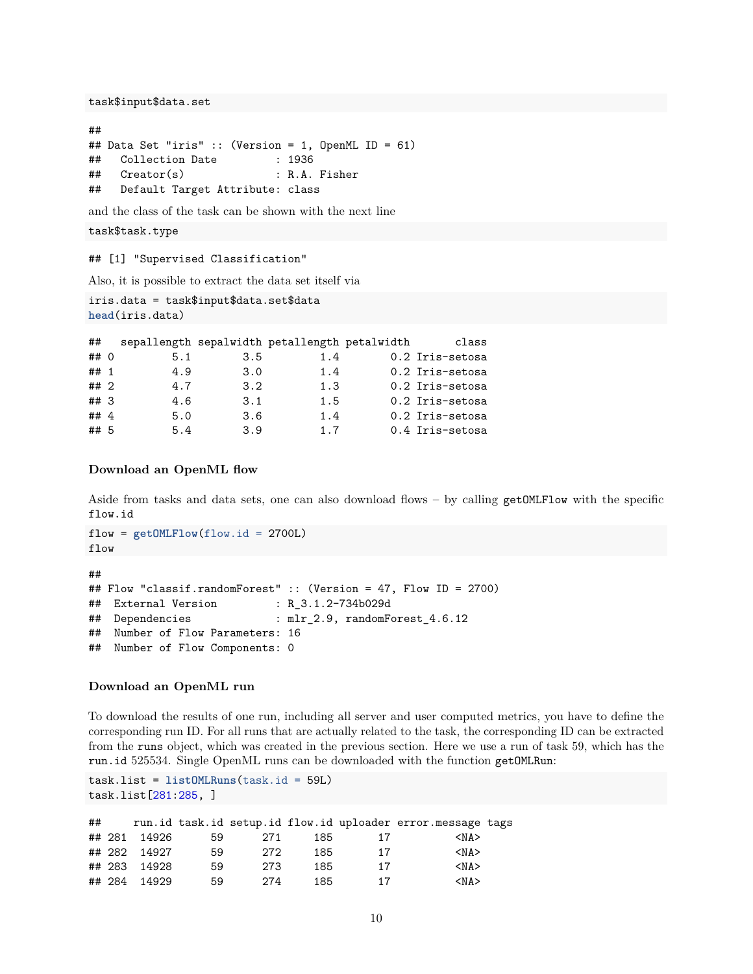task\$input\$data.set

```
##
## Data Set "iris" :: (Version = 1, OpenML ID = 61)
## Collection Date : 1936
## Creator(s) : R.A. Fisher
## Default Target Attribute: class
```
and the class of the task can be shown with the next line

```
task$task.type
```
## [1] "Supervised Classification"

Also, it is possible to extract the data set itself via

```
iris.data = task$input$data.set$data
head(iris.data)
```

| ##     |     |                  | sepallength sepalwidth petallength petalwidth | class           |
|--------|-----|------------------|-----------------------------------------------|-----------------|
| ## 0   | 5.1 | 3.5              | 1.4                                           | 0.2 Iris-setosa |
| ## 1   | 4.9 | 3.0              | 1.4                                           | 0.2 Iris-setosa |
| ## 2   | 4.7 | 3.2 <sub>2</sub> | 1.3                                           | 0.2 Iris-setosa |
| ##3    | 4.6 | 3.1              | 1.5                                           | 0.2 Iris-setosa |
| ## $4$ | 5.0 | 3.6              | 1.4                                           | 0.2 Iris-setosa |
| ## 5   | 5.4 | 3.9              | 1.7                                           | 0.4 Iris-setosa |

#### **Download an OpenML flow**

Aside from tasks and data sets, one can also download flows – by calling getOMLFlow with the specific flow.id

```
flow = getOMLFlow(flow.id = 2700L)flow
##
## Flow "classif.randomForest" :: (Version = 47, Flow ID = 2700)
## External Version : R_3.1.2-734b029d
## Dependencies : mlr_2.9, randomForest_4.6.12
## Number of Flow Parameters: 16
## Number of Flow Components: 0
```
#### **Download an OpenML run**

To download the results of one run, including all server and user computed metrics, you have to define the corresponding run ID. For all runs that are actually related to the task, the corresponding ID can be extracted from the runs object, which was created in the previous section. Here we use a run of task 59, which has the run.id 525534. Single OpenML runs can be downloaded with the function getOMLRun:

```
task.list = listOMLRuns(task.id = 59L)
task.list[281:285, ]
```

| ## |              |    |     |     |    | run.id task.id setup.id flow.id uploader error.message tags |  |
|----|--------------|----|-----|-----|----|-------------------------------------------------------------|--|
|    | ## 281 14926 | 59 | 271 | 185 | 17 | $<$ NA $>$                                                  |  |
|    | ## 282 14927 | 59 | 272 | 185 | 17 | $<$ NA $>$                                                  |  |
|    | ## 283 14928 | 59 | 273 | 185 | 17 | $<$ NA $>$                                                  |  |
|    | ## 284 14929 | 59 | 274 | 185 | 17 | $<$ NA $>$                                                  |  |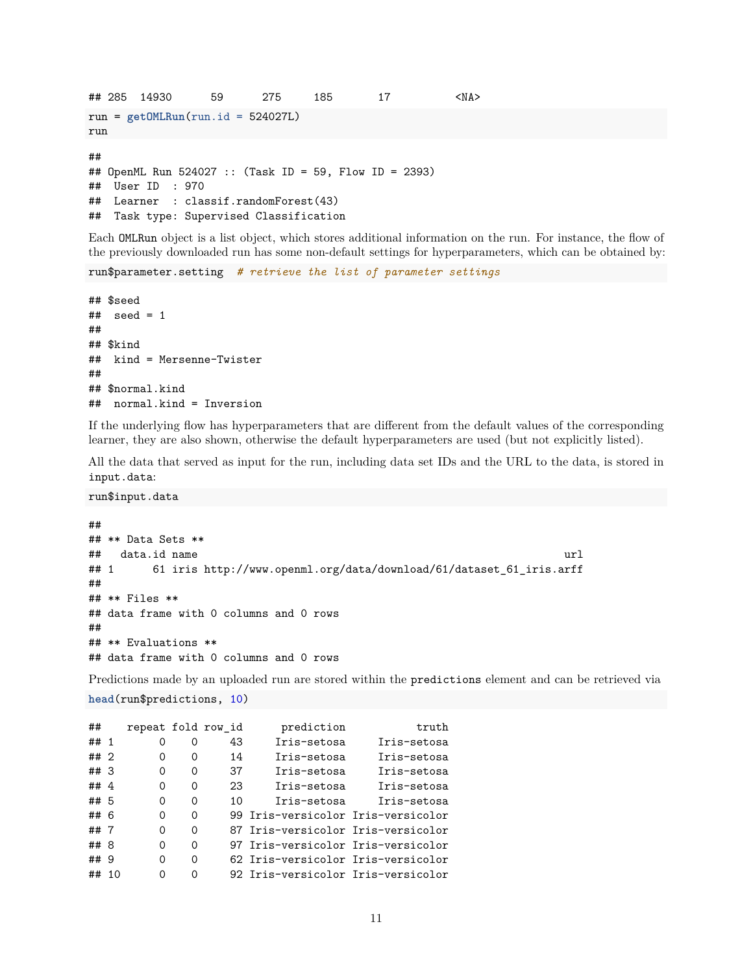```
## 285 14930 59 275 185 17 <NA>
run = getOMLRun(run.id = 524027L)
run
##
## OpenML Run 524027 :: (Task ID = 59, Flow ID = 2393)
## User ID : 970
## Learner : classif.randomForest(43)
## Task type: Supervised Classification
```
Each OMLRun object is a list object, which stores additional information on the run. For instance, the flow of the previously downloaded run has some non-default settings for hyperparameters, which can be obtained by:

```
run$parameter.setting # retrieve the list of parameter settings
```
## \$seed  $##$  seed = 1 ## ## \$kind ## kind = Mersenne-Twister ## ## \$normal.kind ## normal.kind = Inversion

If the underlying flow has hyperparameters that are different from the default values of the corresponding learner, they are also shown, otherwise the default hyperparameters are used (but not explicitly listed).

All the data that served as input for the run, including data set IDs and the URL to the data, is stored in input.data:

run\$input.data

```
##
## ** Data Sets **
## data.id name url
## 1 61 iris http://www.openml.org/data/download/61/dataset_61_iris.arff
##
## ** Files **
## data frame with 0 columns and 0 rows
##
## ** Evaluations **
## data frame with 0 columns and 0 rows
```
Predictions made by an uploaded run are stored within the predictions element and can be retrieved via **head**(run\$predictions, 10)

| ##     |   |   |          | repeat fold row_id | prediction                         | truth       |
|--------|---|---|----------|--------------------|------------------------------------|-------------|
| ## $1$ |   | 0 | Ω        | 43                 | Iris-setosa                        | Iris-setosa |
| $##$ 2 |   | 0 | $\Omega$ | 14                 | Iris-setosa                        | Iris-setosa |
| ## 3   |   | Ω | $\Omega$ | 37                 | Iris-setosa                        | Iris-setosa |
| ##4    |   | 0 | $\Omega$ | 23                 | Iris-setosa                        | Iris-setosa |
| ##5    |   | Ω | $\Omega$ | 10                 | Iris-setosa                        | Iris-setosa |
| ## 6   |   | ∩ | $\Omega$ |                    | 99 Iris-versicolor Iris-versicolor |             |
| ##7    |   | Ω | $\Omega$ |                    | 87 Iris-versicolor Iris-versicolor |             |
| ## 8   |   | ∩ | $\Omega$ |                    | 97 Iris-versicolor Iris-versicolor |             |
| ##     | 9 | ∩ | $\Omega$ |                    | 62 Iris-versicolor Iris-versicolor |             |
| ##     |   |   | Ω        |                    | 92 Iris-versicolor Iris-versicolor |             |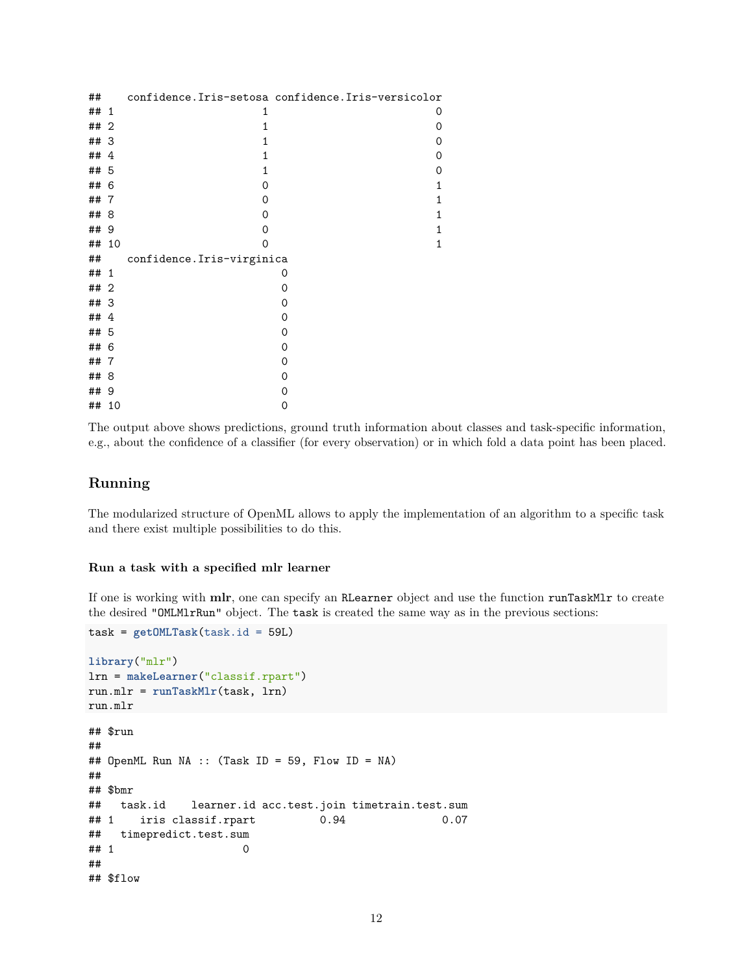| ##<br>1<br>1<br>## 2<br>1<br>## 3<br>1<br>##4<br>1<br>## 5<br>1<br>## 6<br>$\Omega$<br>##7<br>$\Omega$<br>## 8<br>0<br>## 9<br>0<br>## 10<br>$\Omega$<br>confidence. Iris-virginica<br>##<br>## 1<br>0<br>## 2<br>0<br>## 3<br>0<br>##4<br>0<br>## 5<br>0<br>## 6<br>0<br>##<br>0<br>-7 | 0<br>0<br>0<br>0<br>0<br>1<br>1<br>1<br>1<br>1 |
|-----------------------------------------------------------------------------------------------------------------------------------------------------------------------------------------------------------------------------------------------------------------------------------------|------------------------------------------------|
|                                                                                                                                                                                                                                                                                         |                                                |
|                                                                                                                                                                                                                                                                                         |                                                |
|                                                                                                                                                                                                                                                                                         |                                                |
|                                                                                                                                                                                                                                                                                         |                                                |
|                                                                                                                                                                                                                                                                                         |                                                |
|                                                                                                                                                                                                                                                                                         |                                                |
|                                                                                                                                                                                                                                                                                         |                                                |
|                                                                                                                                                                                                                                                                                         |                                                |
|                                                                                                                                                                                                                                                                                         |                                                |
|                                                                                                                                                                                                                                                                                         |                                                |
|                                                                                                                                                                                                                                                                                         |                                                |
|                                                                                                                                                                                                                                                                                         |                                                |
|                                                                                                                                                                                                                                                                                         |                                                |
|                                                                                                                                                                                                                                                                                         |                                                |
|                                                                                                                                                                                                                                                                                         |                                                |
|                                                                                                                                                                                                                                                                                         |                                                |
|                                                                                                                                                                                                                                                                                         |                                                |
|                                                                                                                                                                                                                                                                                         |                                                |
| ## 8<br>0                                                                                                                                                                                                                                                                               |                                                |
| ## 9<br>0                                                                                                                                                                                                                                                                               |                                                |
| ##<br>10<br>0                                                                                                                                                                                                                                                                           |                                                |

<span id="page-11-0"></span>The output above shows predictions, ground truth information about classes and task-specific information, e.g., about the confidence of a classifier (for every observation) or in which fold a data point has been placed.

## **Running**

The modularized structure of OpenML allows to apply the implementation of an algorithm to a specific task and there exist multiple possibilities to do this.

#### **Run a task with a specified mlr learner**

If one is working with **[mlr](https://github.com/mlr-org/mlr)**, one can specify an RLearner object and use the function runTaskMlr to create the desired "OMLMlrRun" object. The task is created the same way as in the previous sections:

```
task = getOMLTask(task.id = 59L)
library("mlr")
lrn = makeLearner("classif.rpart")
run.mlr = runTaskMlr(task, lrn)
run.mlr
## $run
##
## OpenML Run NA :: (Task ID = 59, Flow ID = NA)
##
## $bmr
## task.id learner.id acc.test.join timetrain.test.sum
## 1 iris classif.rpart 0.94 0.07
## timepredict.test.sum
## 1 0
##
## $flow
```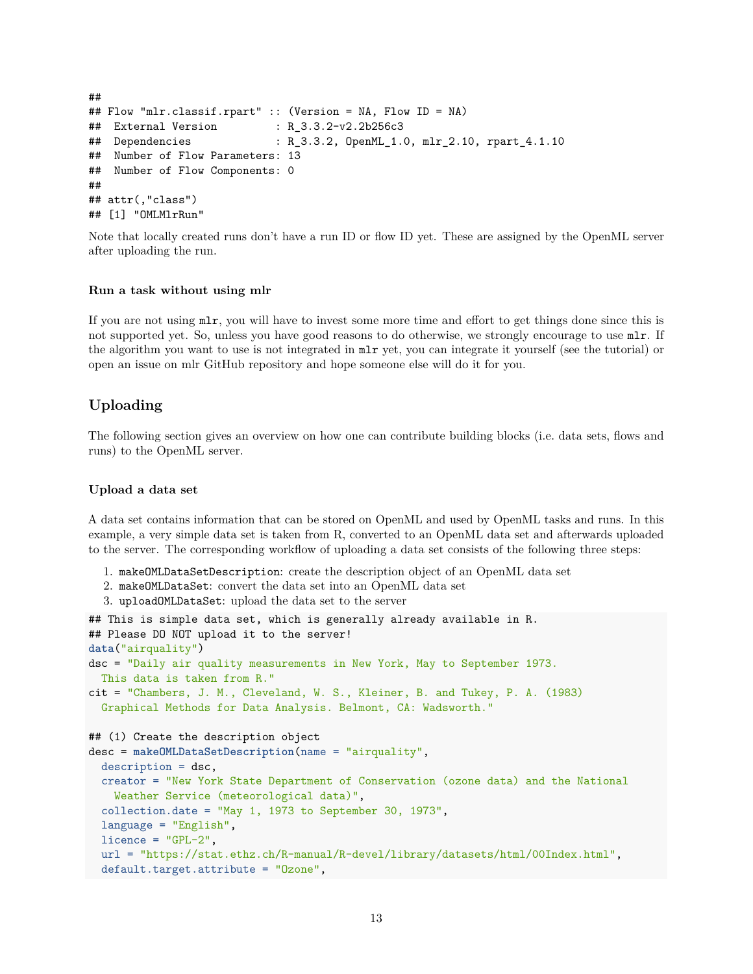```
##
## Flow "mlr.classif.rpart" :: (Version = NA, Flow ID = NA)
## External Version : R_3.3.2-v2.2b256c3
## Dependencies : R_3.3.2, OpenML_1.0, mlr_2.10, rpart_4.1.10
## Number of Flow Parameters: 13
## Number of Flow Components: 0
##
## attr(,"class")
## [1] "OMLMlrRun"
```
Note that locally created runs don't have a run ID or flow ID yet. These are assigned by the OpenML server after uploading the run.

#### **Run a task without using mlr**

If you are not using mlr, you will have to invest some more time and effort to get things done since this is not supported yet. So, unless you have good reasons to do otherwise, we strongly encourage to use mlr. If the algorithm you want to use is not integrated in mlr yet, you can integrate it yourself (see the [tutorial\)](http://mlr-org.github.io/mlr-tutorial/devel/html/create_learner/index.html) or open an [issue on mlr GitHub repository](https://github.com/mlr-org/mlr/issues) and hope someone else will do it for you.

## <span id="page-12-0"></span>**Uploading**

The following section gives an overview on how one can contribute building blocks (i.e. data sets, flows and runs) to the OpenML server.

#### **Upload a data set**

A data set contains information that can be stored on OpenML and used by OpenML tasks and runs. In this example, a very simple data set is taken from R, converted to an OpenML data set and afterwards uploaded to the server. The corresponding workflow of uploading a data set consists of the following three steps:

- 1. makeOMLDataSetDescription: create the description object of an OpenML data set
- 2. makeOMLDataSet: convert the data set into an OpenML data set
- 3. uploadOMLDataSet: upload the data set to the server

```
## This is simple data set, which is generally already available in R.
## Please DO NOT upload it to the server!
data("airquality")
dsc = "Daily air quality measurements in New York, May to September 1973.
 This data is taken from R."
cit = "Chambers, J. M., Cleveland, W. S., Kleiner, B. and Tukey, P. A. (1983)
  Graphical Methods for Data Analysis. Belmont, CA: Wadsworth."
## (1) Create the description object
desc = makeOMLDataSetDescription(name = "airquality",
  description = dsc,
  creator = "New York State Department of Conservation (ozone data) and the National
   Weather Service (meteorological data)",
  collection.date = "May 1, 1973 to September 30, 1973",
  language = "English",
  licence = "GPL-2",url = "https://stat.ethz.ch/R-manual/R-devel/library/datasets/html/00Index.html",
  default.target.attribute = "Ozone",
```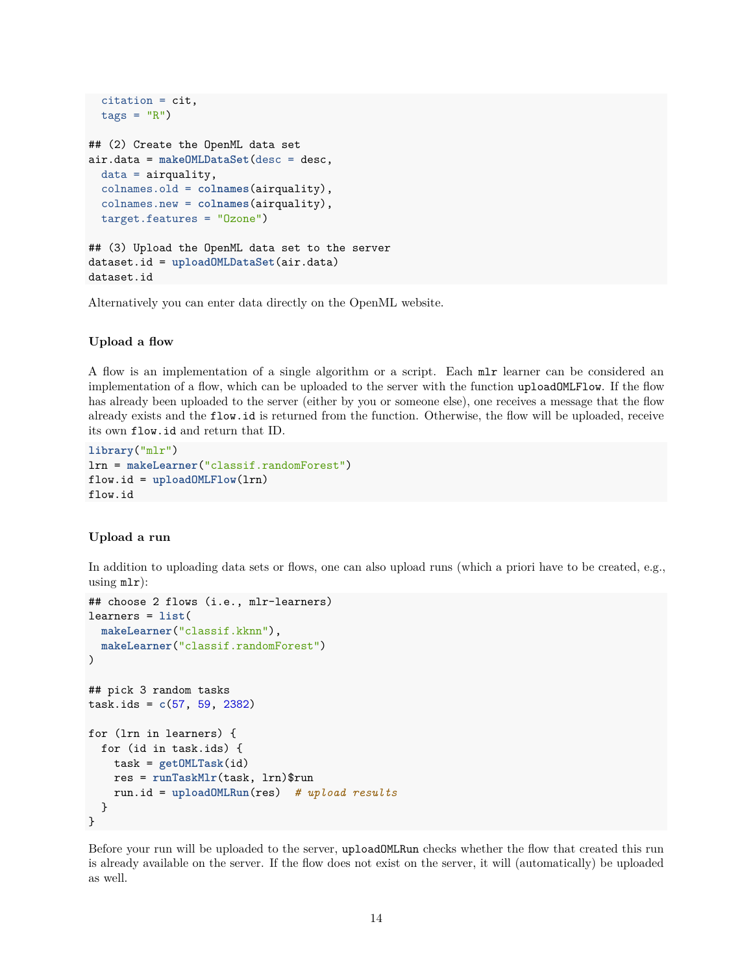```
citation = cit,
  tags = "R")## (2) Create the OpenML data set
air.data = makeOMLDataSet(desc = desc,
  data = airquality,
  colnames.old = colnames(airquality),
  colnames.new = colnames(airquality),
  target.features = "Ozone")
## (3) Upload the OpenML data set to the server
dataset.id = uploadOMLDataSet(air.data)
dataset.id
```
Alternatively you can enter data directly on the [OpenML website.](http://www.openml.org/new/data)

#### **Upload a flow**

A [flow](#page-6-0) is an implementation of a single algorithm or a script. Each mlr [learner](http://mlr-org.github.io/mlr-tutorial/release/html/integrated_learners/) can be considered an implementation of a flow, which can be uploaded to the server with the function uploadOMLFlow. If the flow has already been uploaded to the server (either by you or someone else), one receives a message that the flow already exists and the flow.id is returned from the function. Otherwise, the flow will be uploaded, receive its own flow.id and return that ID.

```
library("mlr")
lrn = makeLearner("classif.randomForest")
flow.id = uploadOMLFlow(lrn)
flow.id
```
#### **Upload a run**

In addition to uploading data sets or flows, one can also upload runs (which a priori have to be created, e.g., using  $mlr$ :

```
## choose 2 flows (i.e., mlr-learners)
learners = list(
  makeLearner("classif.kknn"),
  makeLearner("classif.randomForest")
\lambda## pick 3 random tasks
task.ids = c(57, 59, 2382)
for (lrn in learners) {
  for (id in task.ids) {
    task = getOMLTask(id)
    res = runTaskMlr(task, lrn)$run
    run.id = uploadOMLRun(res) # upload results
  }
}
```
Before your run will be uploaded to the server, uploadOMLRun checks whether the flow that created this run is already available on the server. If the flow does not exist on the server, it will (automatically) be uploaded as well.